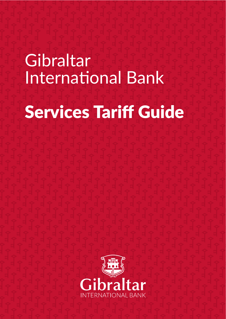# **Gibraltar International Bank** Services Tariff Guide

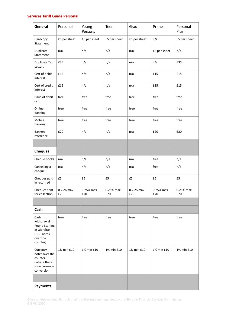# **Services Tariff Guide Personal**

| General                                                                                              | Personal         | Young<br>Persons | Teen             | Grad             | Prime            | Personal<br>Plus |
|------------------------------------------------------------------------------------------------------|------------------|------------------|------------------|------------------|------------------|------------------|
| Hardcopy<br>Statement                                                                                | £5 per sheet     | £5 per sheet     | £5 per sheet     | £5 per sheet     | n/a              | £5 per sheet     |
| Duplicate<br>Statement                                                                               | n/a              | n/a              | n/a              | n/a              | £5 per sheet     | n/a              |
| Duplicate Tax<br>Letters                                                                             | £35              | n/a              | n/a              | n/a              | n/a              | £35              |
| Cert of debit<br>interest                                                                            | £15              | n/a              | n/a              | n/a              | £15              | £15              |
| Cert of credit<br>interest                                                                           | £15              | n/a              | n/a              | n/a              | £15              | £15              |
| Issue of debit<br>card                                                                               | free             | free             | free             | free             | free             | free             |
| Online<br><b>Banking</b>                                                                             | free             | free             | free             | free             | free             | free             |
| Mobile<br><b>Banking</b>                                                                             | free             | free             | free             | free             | free             | free             |
| <b>Bankers</b><br>reference                                                                          | £20              | n/a              | n/a              | n/a              | £20              | £20              |
|                                                                                                      |                  |                  |                  |                  |                  |                  |
| <b>Cheques</b>                                                                                       |                  |                  |                  |                  |                  |                  |
| Cheque books                                                                                         | n/a              | n/a              | n/a              | n/a              | free             | n/a              |
| Cancelling a<br>cheque                                                                               | n/a              | n/a              | n/a              | n/a              | free             | n/a              |
| Cheques paid<br>in returned                                                                          | £5               | £5               | £5               | £5               | £5               | £5               |
| Cheques sent<br>for collection                                                                       | 0.25% max<br>£70 | 0.25% max<br>£70 | 0.25% max<br>£70 | 0.25% max<br>£70 | 0.25% max<br>£70 | 0.25% max<br>£70 |
|                                                                                                      |                  |                  |                  |                  |                  |                  |
| Cash                                                                                                 |                  |                  |                  |                  |                  |                  |
| Cash<br>withdrawal in<br><b>Pound Sterling</b><br>in Gibraltar<br>(GBP notes<br>over the<br>counter) | free             | free             | free             | free             | free             | free             |
| Currency<br>notes over the<br>counter<br>(where there<br>is no currency<br>conversion)               | 1% min £10       | 1% min £10       | 1% min £10       | 1% min £10       | 1% min £10       | 1% min £10       |
|                                                                                                      |                  |                  |                  |                  |                  |                  |
| <b>Payments</b>                                                                                      |                  |                  |                  |                  |                  |                  |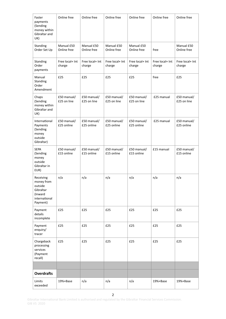| Faster<br>payments<br>(Sending<br>money within<br>Gibraltar and<br>UK)                  | Online free                | Online free                | Online free                | Online free                | Online free               | Online free                |
|-----------------------------------------------------------------------------------------|----------------------------|----------------------------|----------------------------|----------------------------|---------------------------|----------------------------|
| Standing<br>Order Set Up                                                                | Manual £50<br>Online free  | Manual £50<br>Online free  | Manual £50<br>Online free  | Manual £50<br>Online free  | free                      | Manual £50<br>Online free  |
| Standing<br>Order<br>payments                                                           | Free local+ Int<br>charge  | Free local+ Int<br>charge  | Free local+ Int<br>charge  | Free local+ Int<br>charge  | Free local+ Int<br>charge | Free local+ Int<br>charge  |
| Manual<br>Standing<br>Order<br>Amendment                                                | £25                        | £25                        | £25                        | £25                        | free                      | £25                        |
| Chaps<br>(Sending<br>money within<br>Gibraltar and<br>UK)                               | £50 manual/<br>£25 on line | £50 manual/<br>£25 on line | £50 manual/<br>£25 on line | £50 manual/<br>£25 on line | £25 manual                | £50 manual/<br>£25 on line |
| International<br>Payments<br>(Sending<br>money<br>outside<br>Gibraltar)                 | £50 manual/<br>£25 online  | £50 manual/<br>£25 online  | £50 manual/<br>£25 online  | £50 manual/<br>£25 online  | £25 manual                | £50 manual/<br>£25 online  |
| <b>SEPA</b><br>(Sending<br>money<br>outside<br>Gibraltar in<br>EUR)                     | £50 manual/<br>£15 online  | £50 manual/<br>£15 online  | £50 manual/<br>£15 online  | £50 manual/<br>£15 online  | £15 manual                | £50 manual/<br>£15 online  |
| Receiving<br>money from<br>outside<br>Gibraltar<br>(Inward<br>international<br>Payment) | n/a                        | n/a                        | n/a                        | n/a                        | n/a                       | n/a                        |
| Payment<br>details<br>incomplete                                                        | £25                        | £25                        | £25                        | £25                        | £25                       | £25                        |
| Payment<br>enquiry/<br>tracer                                                           | £25                        | £25                        | £25                        | £25                        | £25                       | £25                        |
| Chargeback<br>processing<br>services<br>(Payment<br>recall)                             | £25                        | £25                        | £25                        | £25                        | £25                       | £25                        |
|                                                                                         |                            |                            |                            |                            |                           |                            |
| <b>Overdrafts</b>                                                                       |                            |                            |                            |                            |                           |                            |
| Limits<br>exceeded                                                                      | 19%+Base                   | n/a                        | n/a                        | n/a                        | 19%+Base                  | 19%+Base                   |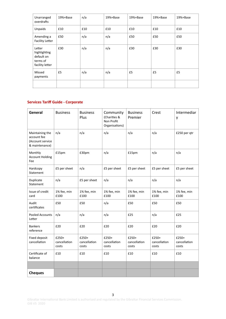| Unarranged<br>overdrafts                                            | 19%+Base | n/a | 19%+Base | 19%+Base | 19%+Base | 19%+Base |
|---------------------------------------------------------------------|----------|-----|----------|----------|----------|----------|
| Unpaids                                                             | £10      | £10 | £10      | £10      | £10      | £10      |
| Amending a<br><b>Facility Letter</b>                                | £50      | n/a | n/a      | £50      | £50      | £50      |
| Letter<br>highlighting<br>default on<br>terms of<br>facility letter | £30      | n/a | n/a      | £30      | £30      | £30      |
| Missed<br>payments                                                  | £5       | n/a | n/a      | £5       | £5       | £5       |
|                                                                     |          |     |          |          |          |          |

# **Services Tariff Guide - Corporate**

| General                                                              | <b>Business</b>                | <b>Business</b><br>Plus        | Community<br>(Charities &<br>Non Profit<br>Organisations) | <b>Business</b><br>Premier     | Crest                          | Intermediar<br>у               |
|----------------------------------------------------------------------|--------------------------------|--------------------------------|-----------------------------------------------------------|--------------------------------|--------------------------------|--------------------------------|
| Maintaining the<br>account fee<br>(Account service<br>& maintenance) | n/a                            | n/a                            | n/a                                                       | n/a                            | n/a                            | £250 per qtr                   |
| Monthly<br><b>Account Holding</b><br>Fee                             | £15pm                          | £30pm                          | n/a                                                       | £15pm                          | n/a                            | n/a                            |
| Hardcopy<br>Statement                                                | £5 per sheet                   | n/a                            | £5 per sheet                                              | £5 per sheet                   | £5 per sheet                   | £5 per sheet                   |
| Duplicate<br>Statement                                               | n/a                            | £5 per sheet                   | n/a                                                       | n/a                            | n/a                            | n/a                            |
| Issue of credit<br>card                                              | 1% fee, min<br>£100            | 1% fee, min<br>£100            | 1% fee, min<br>£100                                       | 1% fee, min<br>£100            | 1% fee, min<br>£100            | 1% fee, min<br>£100            |
| Audit<br>certificates                                                | £50                            | £50                            | n/a                                                       | £50                            | £50                            | £50                            |
| Pooled Accounts<br>Letter                                            | n/a                            | n/a                            | n/a                                                       | £25                            | n/a                            | £25                            |
| <b>Bankers</b><br>reference                                          | £20                            | £20                            | £20                                                       | £20                            | £20                            | £20                            |
| Fixed deposit<br>cancellation                                        | £250+<br>cancellation<br>costs | £250+<br>cancellation<br>costs | $£250+$<br>cancellation<br>costs                          | £250+<br>cancellation<br>costs | £250+<br>cancellation<br>costs | £250+<br>cancellation<br>costs |
| Certificate of<br>balance                                            | £10                            | £10                            | £10                                                       | £10                            | £10                            | £10                            |
|                                                                      |                                |                                |                                                           |                                |                                |                                |
| <b>Cheques</b>                                                       |                                |                                |                                                           |                                |                                |                                |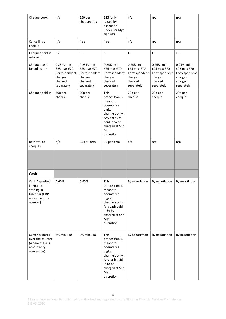| Cheque books                                                                               | n/a                                                                             | £50 per<br>chequebook                                                           | £25 (only<br>issued by<br>exception<br>under Snr Mgt<br>sign off)                                                                                             | n/a                                                                             | n/a                                                                             | n/a                                                                             |
|--------------------------------------------------------------------------------------------|---------------------------------------------------------------------------------|---------------------------------------------------------------------------------|---------------------------------------------------------------------------------------------------------------------------------------------------------------|---------------------------------------------------------------------------------|---------------------------------------------------------------------------------|---------------------------------------------------------------------------------|
| Cancelling a<br>cheque                                                                     | n/a                                                                             | free                                                                            | free                                                                                                                                                          | n/a                                                                             | n/a                                                                             | n/a                                                                             |
| Cheques paid in<br>returned                                                                | £5                                                                              | £5                                                                              | £5                                                                                                                                                            | £5                                                                              | £5                                                                              | £5                                                                              |
| Cheques sent<br>for collection                                                             | 0.25%, min<br>£25 max £70.<br>Correspondent<br>charges<br>charged<br>separately | 0.25%, min<br>£25 max £70.<br>Correspondent<br>charges<br>charged<br>separately | 0.25%, min<br>£25 max £70.<br>Correspondent<br>charges<br>charged<br>separately                                                                               | 0.25%, min<br>£25 max £70.<br>Correspondent<br>charges<br>charged<br>separately | 0.25%, min<br>£25 max £70.<br>Correspondent<br>charges<br>charged<br>separately | 0.25%, min<br>£25 max £70.<br>Correspondent<br>charges<br>charged<br>separately |
| Cheques paid in                                                                            | 20p per<br>cheque                                                               | 20p per<br>cheque                                                               | <b>This</b><br>proposition is<br>meant to<br>operate via<br>digital<br>channels only.<br>Any cheques<br>paid in to be<br>charged at Snr<br>Mgt<br>discretion. | 20p per<br>cheque                                                               | 20p per<br>cheque                                                               | 20p per<br>cheque                                                               |
| Retrieval of<br>cheques                                                                    | n/a                                                                             | £5 per item                                                                     | £5 per item                                                                                                                                                   | n/a                                                                             | n/a                                                                             | n/a                                                                             |
|                                                                                            |                                                                                 |                                                                                 |                                                                                                                                                               |                                                                                 |                                                                                 |                                                                                 |
| Cash                                                                                       |                                                                                 |                                                                                 |                                                                                                                                                               |                                                                                 |                                                                                 |                                                                                 |
| Cash Deposited<br>in Pounds<br>Sterling in<br>Gibraltar (GBP<br>notes over the<br>counter) | 0.60%                                                                           | 0.60%                                                                           | This<br>proposition is<br>meant to<br>operate via<br>digital<br>channels only.<br>Any cash paid<br>in to be<br>charged at Snr<br>Mgt<br>discretion.           | By negotiation                                                                  | By negotiation                                                                  | By negotiation                                                                  |
| Currency notes<br>over the counter<br>(where there is<br>no currency<br>conversion)        | 2% min £10                                                                      | 2% min £10                                                                      | This<br>proposition is<br>meant to<br>operate via<br>digital<br>channels only.<br>Any cash paid<br>in to be<br>charged at Snr<br>Mgt<br>discretion.           | By negotiation                                                                  | By negotiation                                                                  | By negotiation                                                                  |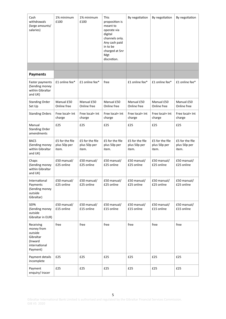| Cash<br>withdrawals<br>(large amounts/<br>salaries)                                     | 1% minimum<br>£100                       | 1% minimum<br>£100                       | This<br>proposition is<br>meant to<br>operate via<br>digital<br>channels only.<br>Any cash paid<br>in to be<br>charged at Snr<br>Mgt<br>discretion. | By negotiation                           | By negotiation                           | By negotiation                           |
|-----------------------------------------------------------------------------------------|------------------------------------------|------------------------------------------|-----------------------------------------------------------------------------------------------------------------------------------------------------|------------------------------------------|------------------------------------------|------------------------------------------|
|                                                                                         |                                          |                                          |                                                                                                                                                     |                                          |                                          |                                          |
| <b>Payments</b>                                                                         |                                          |                                          |                                                                                                                                                     |                                          |                                          |                                          |
| Faster payments<br>(Sending money<br>within Gibraltar<br>and UK)                        | £1 online fee*                           | £1 online fee*                           | free                                                                                                                                                | £1 online fee*                           | £1 online fee*                           | £1 online fee*                           |
| <b>Standing Order</b><br>Set Up                                                         | Manual £50<br>Online free                | Manual £50<br>Online free                | Manual £50<br>Online free                                                                                                                           | Manual £50<br>Online free                | Manual £50<br>Online free                | Manual £50<br>Online free                |
| <b>Standing Orders</b>                                                                  | Free local+ Int<br>charge                | Free local+ Int<br>charge                | Free local+ Int<br>charge                                                                                                                           | Free local+ Int<br>charge                | Free local+ Int<br>charge                | Free local+ Int<br>charge                |
| Manual<br><b>Standing Order</b><br>amendments                                           | £25                                      | £25                                      | £25                                                                                                                                                 | £25                                      | £25                                      | £25                                      |
| <b>BACS</b><br>(Sending money<br>within Gibraltar<br>and UK)                            | £5 for the file<br>plus 50p per<br>item. | £5 for the file<br>plus 50p per<br>item. | £5 for the file<br>plus 50p per<br>item.                                                                                                            | £5 for the file<br>plus 50p per<br>item. | £5 for the file<br>plus 50p per<br>item. | £5 for the file<br>plus 50p per<br>item. |
| Chaps<br>(Sending money<br>within Gibraltar<br>and UK)                                  | £50 manual/<br>£25 online                | £50 manual/<br>£25 online                | £50 manual/<br>£25 online                                                                                                                           | £50 manual/<br>£25 online                | £50 manual/<br>£25 online                | £50 manual/<br>£25 online                |
| International<br>Payments<br>(Sending money<br>outside<br>Gibraltar)                    | £50 manual/<br>£25 online                | £50 manual/<br>£25 online                | £50 manual/<br>£25 online                                                                                                                           | £50 manual/<br>£25 online                | £50 manual/<br>£25 online                | £50 manual/<br>£25 online                |
| <b>SEPA</b><br>(Sending money<br>outside<br>Gibraltar in EUR)                           | £50 manual/<br>£15 online                | £50 manual/<br>£15 online                | £50 manual/<br>£15 online                                                                                                                           | £50 manual/<br>£15 online                | £50 manual/<br>£15 online                | £50 manual/<br>£15 online                |
| Receiving<br>money from<br>outside<br>Gibraltar<br>(Inward<br>international<br>Payment) | free                                     | free                                     | free                                                                                                                                                | free                                     | free                                     | free                                     |
| Payment details<br>incomplete                                                           | £25                                      | £25                                      | £25                                                                                                                                                 | £25                                      | £25                                      | £25                                      |
| Payment<br>enquiry/tracer                                                               | £25                                      | £25                                      | £25                                                                                                                                                 | £25                                      | £25                                      | £25                                      |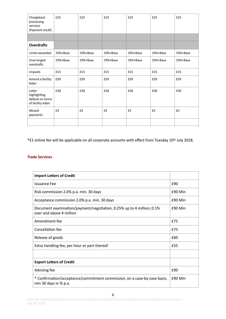| Chargeback<br>processing<br>services<br>(Payment recall)         | £25      | £25      | £25      | £25      | £25      | £25      |
|------------------------------------------------------------------|----------|----------|----------|----------|----------|----------|
|                                                                  |          |          |          |          |          |          |
| <b>Overdrafts</b>                                                |          |          |          |          |          |          |
| Limits exceeded                                                  | 19%+Base | 19%+Base | 19%+Base | 19%+Base | 19%+Base | 19%+Base |
| Unarranged<br>overdrafts                                         | 19%+Base | 19%+Base | 19%+Base | 19%+Base | 19%+Base | 19%+Base |
| Unpaids                                                          | £15      | £15      | £15      | £15      | £15      | £15      |
| Amend a facility<br>letter                                       | £50      | £50      | £50      | £50      | £50      | £50      |
| Letter<br>highlighting<br>default on terms<br>of facility letter | £30      | £30      | £30      | £30      | £30      | £30      |
| Missed<br>payments                                               | £5       | £5       | £5       | £5       | £5       | £5       |
|                                                                  |          |          |          |          |          |          |

\*£1 online fee will be applicable on all corporate accounts with effect from Tuesday 10th July 2018.

## **Trade Services**

| <b>Import Letters of Credit</b>                                                                      |         |
|------------------------------------------------------------------------------------------------------|---------|
| <b>Issuance Fee</b>                                                                                  | £90     |
| Risk commission 2.0% p.a. min. 30 days                                                               | £90 Min |
| Acceptance commission 2.0% p.a. min. 30 days                                                         | £90 Min |
| Document examination/payment/negotiation, 0.25% up to 4 million; 0.1%<br>over and above 4 million    | £90 Min |
| Amendment fee                                                                                        | £75     |
| Cancellation fee                                                                                     | £75     |
| Release of goods                                                                                     | £60     |
| Extra handling fee, per hour or part thereof                                                         | £55     |
|                                                                                                      |         |
| <b>Export Letters of Credit</b>                                                                      |         |
| Advising fee                                                                                         | £90     |
| * Confirmation/acceptance/commitment commission, on a case-by-case basis,<br>min 30 days in $%$ p.a. | £90 Min |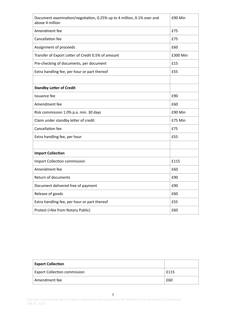| Document examination/negotiation, 0.25% up to 4 million, 0.1% over and<br>above 4 million | £90 Min  |
|-------------------------------------------------------------------------------------------|----------|
| Amendment fee                                                                             | £75      |
| Cancellation fee                                                                          | £75      |
| Assignment of proceeds                                                                    | £60      |
| Transfer of Export Letter of Credit 0.5% of amount                                        | £300 Min |
| Pre-checking of documents, per document                                                   | £15      |
| Extra handling fee, per hour or part thereof                                              | £55      |
|                                                                                           |          |
| <b>Standby Letter of Credit</b>                                                           |          |
| Issuance fee                                                                              | £90      |
| Amendment fee                                                                             | £60      |
| Risk commission 1.0% p.a. min. 30 days                                                    | £90 Min  |
| Claim under standby letter of credit                                                      | £75 Min  |
| Cancellation fee                                                                          | £75      |
| Extra handling fee, per hour                                                              | £55      |
|                                                                                           |          |
| <b>Import Collection</b>                                                                  |          |
| Import Collection commission                                                              | £115     |
| Amendment fee                                                                             | £60      |
| Return of documents                                                                       | £90      |
| Document delivered free of payment                                                        | £90      |
| Release of goods                                                                          | £60      |
| Extra handling fee, per hour or part thereof                                              | £55      |
| Protest (+fee from Notary Public)                                                         | £60      |

| <b>Export Collection</b>            |      |
|-------------------------------------|------|
| <b>Export Collection commission</b> | f115 |
| Amendment fee                       | £60  |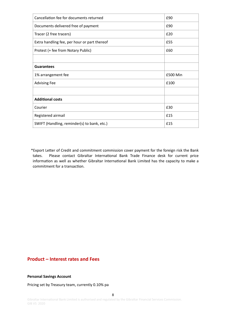| Cancellation fee for documents returned      | £90      |
|----------------------------------------------|----------|
| Documents delivered free of payment          | £90      |
| Tracer (2 free tracers)                      | £20      |
| Extra handling fee, per hour or part thereof | £55      |
| Protest (+ fee from Notary Public)           | £60      |
|                                              |          |
| <b>Guarantees</b>                            |          |
| 1% arrangement fee                           | £500 Min |
| <b>Advising Fee</b>                          | £100     |
|                                              |          |
| <b>Additional costs</b>                      |          |
| Courier                                      | £30      |
| Registered airmail                           | £15      |
| SWIFT (Handling, reminder(s) to bank, etc.)  | £15      |

\*Export Letter of Credit and commitment commission cover payment for the foreign risk the Bank takes. Please contact Gibraltar International Bank Trade Finance desk for current price information as well as whether Gibraltar International Bank Limited has the capacity to make a commitment for a transaction.

# **Product – Interest rates and Fees**

### **Personal Savings Account**

Pricing set by Treasury team, currently 0.10% pa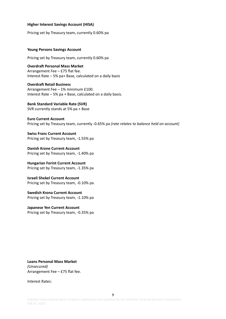#### **Higher Interest Savings Account (HISA)**

Pricing set by Treasury team, currently 0.60% pa

#### **Young Persons Savings Account**

Pricing set by Treasury team, currently 0.60% pa

**Overdraft Personal Mass Market** Arrangement Fee  $-$  £75 flat fee. Interest Rate  $-5%$  pa+ Base, calculated on a daily basis

**Overdraft Retail Business** Arrangement Fee  $-1%$  minimum £100. Interest Rate  $-5%$  pa + Base, calculated on a daily basis.

**Bank Standard Variable Rate (SVR)** SVR currently stands at  $5%$  pa + Base

**Euro Current Account** Pricing set by Treasury team, currently -0.65% pa (rate relates to balance held on account)

**Swiss Franc Current Account** Pricing set by Treasury team, -1.55% pa

**Danish Krone Current Account** Pricing set by Treasury team, -1.40% pa

**Hungarian Forint Current Account** Pricing set by Treasury team, -1.35% pa

**Israeli Shekel Current Account** Pricing set by Treasury team, -0.10% pa

**Swedish Krona Current Account** Pricing set by Treasury team, -1.10% pa

**Japanese Yen Current Account** Pricing set by Treasury team, -0.35% pa

**Loans Personal Mass Market** *(Unsecured)* Arrangement Fee  $-$  £75 flat fee.

Interest Rates:

9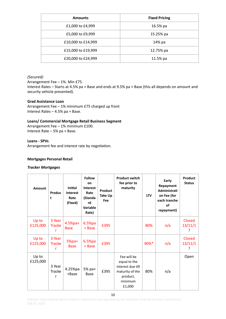| <b>Amounts</b>     | <b>Fixed Pricing</b> |
|--------------------|----------------------|
| £1,000 to £4,999   | 16.5% pa             |
| £5,000 to £9,999   | 15.25% pa            |
| £10,000 to £14,999 | 14% pa               |
| £15,000 to £19,999 | 12.75% pa            |
| £20,000 to £24,999 | 11.5% pa             |

## *(Secured)*

Arrangement Fee  $-1\%$ . Min £75. Interest Rates - Starts at 4.5% pa + Base and ends at 9.5% pa + Base (this all depends on amount and security vehicle presented).

### **Grad Assistance Loan**

Arrangement Fee  $-1%$  minimum £75 charged up front Interest Rates  $-4.5%$  pa + Base.

### Loans/ Commercial Mortgage Retail Business Segment

Arrangement Fee - 1% minimum £100. Interest Rate  $-5%$  pa + Base.

## Loans - SPVs

Arrangement fee and interest rate by negotiation.

### **Mortgages Personal Retail**

### *Tracker Mortgages*

| Amount            | Produc<br>t                  | <b>Initial</b><br><b>Interest</b><br>Rate<br>(Fixed) | <b>Follow</b><br>on<br><b>Interest</b><br>Rate<br>(Standa<br>rd<br><b>Variable</b><br>Rate) | Product<br>Take Up<br>Fee | <b>Product switch</b><br>fee prior to<br>maturity                                                    | <b>LTV</b> | Early<br>Repayment<br>Administrati<br>on Fee (for<br>each tranche<br>of<br>repayment) | Product<br><b>Status</b>      |
|-------------------|------------------------------|------------------------------------------------------|---------------------------------------------------------------------------------------------|---------------------------|------------------------------------------------------------------------------------------------------|------------|---------------------------------------------------------------------------------------|-------------------------------|
| Up to<br>£125,000 | 3 Year<br><b>Tracke</b><br>r | $4.5%pa+$<br><b>Base</b>                             | $6.5%$ pa<br>+ Base                                                                         | £395                      |                                                                                                      | 80%        | n/a                                                                                   | Closed<br>13/11/1<br>7        |
| Up to<br>£125,000 | 3 Year<br><b>Tracke</b><br>r | $5%pa+$<br><b>Base</b>                               | $6.5%$ pa<br>+ Base                                                                         | £395                      |                                                                                                      | 90%*       | n/a                                                                                   | <b>Closed</b><br>13/11/1<br>7 |
| Up to<br>£125,000 | 3 Year<br>Tracke<br>r        | 4.25%pa<br>+Base                                     | 5% pa+<br>Base                                                                              | £395                      | Fee will be<br>equal to the<br>interest due till<br>maturity of the<br>product,<br>minimum<br>£1,000 | 80%        | n/a                                                                                   | Open                          |

Gibraltar International Bank Limited is authorised and regulated by the Gibraltar Financial Services Commission. GIB V5 2020

10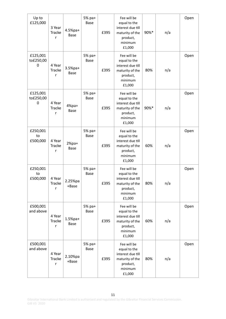| Up to<br>£125,000          | 3 Year<br><b>Tracke</b><br>r | 4.5%pa+<br><b>Base</b> | 5% pa+<br><b>Base</b> | £395 | Fee will be<br>equal to the<br>interest due till<br>maturity of the<br>product,<br>minimum<br>£1,000 | 90%* | n/a | Open |
|----------------------------|------------------------------|------------------------|-----------------------|------|------------------------------------------------------------------------------------------------------|------|-----|------|
| £125,001<br>to£250,00<br>0 | 4 Year<br><b>Tracke</b><br>r | 3.5%pa+<br><b>Base</b> | 5% pa+<br><b>Base</b> | £395 | Fee will be<br>equal to the<br>interest due till<br>maturity of the<br>product,<br>minimum<br>£1,000 | 80%  | n/a | Open |
| £125,001<br>to£250,00<br>0 | 4 Year<br>Tracke<br>r        | $4%pa+$<br>Base        | 5% pa+<br><b>Base</b> | £395 | Fee will be<br>equal to the<br>interest due till<br>maturity of the<br>product,<br>minimum<br>£1,000 | 90%* | n/a | Open |
| £250,001<br>to<br>£500,000 | 4 Year<br>Tracke<br>r        | $2%pa+$<br><b>Base</b> | 5% pa+<br><b>Base</b> | £395 | Fee will be<br>equal to the<br>interest due till<br>maturity of the<br>product,<br>minimum<br>£1,000 | 60%  | n/a | Open |
| £250,001<br>to<br>£500,000 | 4 Year<br>Tracke<br>r        | 2.25%pa<br>+Base       | 5% pa+<br><b>Base</b> | £395 | Fee will be<br>equal to the<br>interest due till<br>maturity of the<br>product,<br>minimum<br>£1,000 | 80%  | n/a | Open |
| £500,001<br>and above      | 4 Year<br>Tracke<br>r        | $1.5%$ pa+<br>Base     | 5% pa+<br><b>Base</b> | £395 | Fee will be<br>equal to the<br>interest due till<br>maturity of the<br>product,<br>minimum<br>£1,000 | 60%  | n/a | Open |
| £500,001<br>and above      | 4 Year<br><b>Tracke</b><br>r | 2.10%pa<br>+Base       | 5% pa+<br>Base        | £395 | Fee will be<br>equal to the<br>interest due till<br>maturity of the<br>product,<br>minimum<br>£1,000 | 80%  | n/a | Open |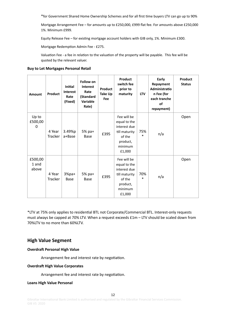\*for Government Shared Home Ownership Schemes and for all first time buyers LTV can go up to 90%

Mortgage Arrangement Fee - for amounts up to £250,000, £999 flat fee. For amounts above £250,000 1%. Minimum £999. 

Equity Release Fee - for existing mortgage account holders with GIB only, 1%. Minimum £300.

Mortgage Redemption Admin Fee - £275.

Valuation Fee - a fee in relation to the valuation of the property will be payable. This fee will be quoted by the relevant valuer.

### **Buy to Let Mortgages Personal Retail**

| <b>Amount</b>             | Product                  | <b>Initial</b><br><b>Interest</b><br>Rate<br>(Fixed) | <b>Follow on</b><br><b>Interest</b><br>Rate<br>(Standard<br>Variable<br>Rate) | Product<br>Take Up<br>Fee | <b>Product</b><br>switch fee<br>prior to<br>maturity                                                    | <b>LTV</b>    | Early<br>Repayment<br>Administratio<br>n Fee (for<br>each tranche<br>of<br>repayment) | Product<br><b>Status</b> |
|---------------------------|--------------------------|------------------------------------------------------|-------------------------------------------------------------------------------|---------------------------|---------------------------------------------------------------------------------------------------------|---------------|---------------------------------------------------------------------------------------|--------------------------|
| Up to<br>£500,00<br>0     | 4 Year<br><b>Tracker</b> | 3.49%p<br>a+Base                                     | $5%$ pa+<br><b>Base</b>                                                       | £395                      | Fee will be<br>equal to the<br>interest due<br>till maturity<br>of the<br>product,<br>minimum<br>£1,000 | 75%<br>*      | n/a                                                                                   | Open                     |
| £500,00<br>1 and<br>above | 4 Year<br><b>Tracker</b> | $3%pa+$<br>Base                                      | 5% pa+<br>Base                                                                | £395                      | Fee will be<br>equal to the<br>interest due<br>till maturity<br>of the<br>product,<br>minimum<br>£1,000 | 70%<br>$\ast$ | n/a                                                                                   | Open                     |

\*LTV at 75% only applies to residential BTL not Corporate/Commercial BTL. Interest-only requests must always be capped at 70% LTV. When a request exceeds  $£1m - LTV$  should be scaled down from 70%LTV to no more than 60%LTV.

## **High Value Segment**

#### **Overdraft Personal High Value**

Arrangement fee and interest rate by negotiation.

#### **Overdraft High Value Corporates**

Arrangement fee and interest rate by negotiation.

#### **Loans High Value Personal**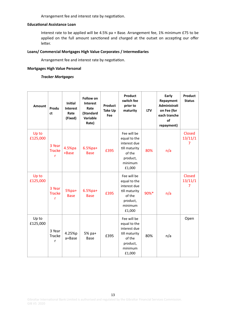Arrangement fee and interest rate by negotiation.

#### **Educational Assistance Loan**

Interest rate to be applied will be 4.5% pa + Base. Arrangement fee, 1% minimum £75 to be applied on the full amount sanctioned and charged at the outset on accepting our offer letter.

### Loans/ Commercial Mortgages High Value Corporates / Intermediaries

Arrangement fee and interest rate by negotiation.

# **Mortgages High Value Personal**

## *Tracker Mortgages*

| Amount            | Produ<br>ct                  | Initial<br><b>Interest</b><br>Rate<br>(Fixed) | <b>Follow on</b><br>Interest<br>Rate<br>(Standard<br>Variable<br>Rate) | Product<br>Take Up<br>Fee | <b>Product</b><br>switch fee<br>prior to<br>maturity                                                    | <b>LTV</b> | Early<br>Repayment<br>Administrati<br>on Fee (for<br>each tranche<br><b>of</b><br>repayment) | Product<br><b>Status</b>                   |
|-------------------|------------------------------|-----------------------------------------------|------------------------------------------------------------------------|---------------------------|---------------------------------------------------------------------------------------------------------|------------|----------------------------------------------------------------------------------------------|--------------------------------------------|
| Up to<br>£125,000 | 3 Year<br><b>Tracke</b><br>r | 4.5%pa<br>+Base                               | $6.5%$ pa+<br><b>Base</b>                                              | £395                      | Fee will be<br>equal to the<br>interest due<br>till maturity<br>of the<br>product,<br>minimum<br>£1,000 | 80%        | n/a                                                                                          | <b>Closed</b><br>13/11/1<br>7              |
| Up to<br>£125,000 | 3 Year<br><b>Tracke</b><br>r | $5%pa+$<br><b>Base</b>                        | $6.5%pa+$<br><b>Base</b>                                               | £395                      | Fee will be<br>equal to the<br>interest due<br>till maturity<br>of the<br>product,<br>minimum<br>£1,000 | 90%*       | n/a                                                                                          | <b>Closed</b><br>13/11/1<br>$\overline{7}$ |
| Up to<br>£125,000 | 3 Year<br><b>Tracke</b><br>r | 4.25%p<br>a+Base                              | 5% pa+<br><b>Base</b>                                                  | £395                      | Fee will be<br>equal to the<br>interest due<br>till maturity<br>of the<br>product,<br>minimum<br>£1,000 | 80%        | n/a                                                                                          | Open                                       |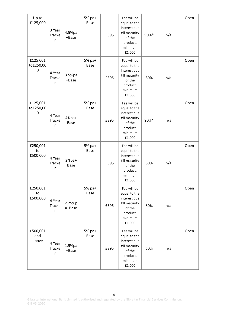| Up to<br>£125,000                    | 3 Year<br>Tracke<br>r        | 4.5%pa<br>+Base          | 5% pa+<br><b>Base</b> | £395 | Fee will be<br>equal to the<br>interest due<br>till maturity<br>of the<br>product,<br>minimum<br>£1,000 | 90%* | n/a | Open |
|--------------------------------------|------------------------------|--------------------------|-----------------------|------|---------------------------------------------------------------------------------------------------------|------|-----|------|
| £125,001<br>to£250,00<br>0           | 4 Year<br><b>Tracke</b><br>r | 3.5%pa<br>+Base          | 5% pa+<br>Base        | £395 | Fee will be<br>equal to the<br>interest due<br>till maturity<br>of the<br>product,<br>minimum<br>£1,000 | 80%  | n/a | Open |
| £125,001<br>to£250,00<br>$\mathbf 0$ | 4 Year<br><b>Tracke</b><br>r | $4%pa+$<br><b>Base</b>   | 5% pa+<br><b>Base</b> | £395 | Fee will be<br>equal to the<br>interest due<br>till maturity<br>of the<br>product,<br>minimum<br>£1,000 | 90%* | n/a | Open |
| £250,001<br>to<br>£500,000           | 4 Year<br>Tracke<br>r        | $2\%$ pa+<br><b>Base</b> | 5% pa+<br><b>Base</b> | £395 | Fee will be<br>equal to the<br>interest due<br>till maturity<br>of the<br>product,<br>minimum<br>£1,000 | 60%  | n/a | Open |
| £250,001<br>to<br>£500,000           | 4 Year<br>Tracke<br>r        | 2.25%p<br>a+Base         | 5% pa+<br>Base        | £395 | Fee will be<br>equal to the<br>interest due<br>till maturity<br>of the<br>product,<br>minimum<br>£1,000 | 80%  | n/a | Open |
| £500,001<br>and<br>above             | 4 Year<br>Tracke<br>r        | 1.5%pa<br>+Base          | 5% pa+<br>Base        | £395 | Fee will be<br>equal to the<br>interest due<br>till maturity<br>of the<br>product,<br>minimum<br>£1,000 | 60%  | n/a | Open |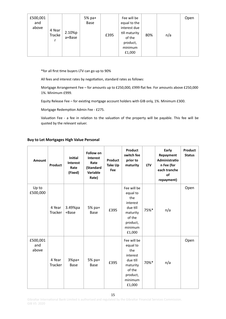| £500,001<br>and<br>above<br>4 Year<br>2.10%p<br>Tracke<br>a+Base | 5% pa+<br>Base<br>£395 | Fee will be<br>equal to the<br>interest due<br>till maturity<br>of the<br>product,<br>minimum<br>£1,000 | 80%<br>n/a | Open |
|------------------------------------------------------------------|------------------------|---------------------------------------------------------------------------------------------------------|------------|------|
|------------------------------------------------------------------|------------------------|---------------------------------------------------------------------------------------------------------|------------|------|

\*for all first time buyers LTV can go up to 90%

All fees and interest rates by negotiation, standard rates as follows:

Mortgage Arrangement Fee - for amounts up to £250,000, £999 flat fee. For amounts above £250,000 1%. Minimum £999. 

Equity Release Fee - for existing mortgage account holders with GIB only, 1%. Minimum £300.

Mortgage Redemption Admin Fee - £275.

Valuation Fee - a fee in relation to the valuation of the property will be payable. This fee will be quoted by the relevant valuer.

## **Buy to Let Mortgages High Value Personal**

| <b>Amount</b>            | <b>Product</b>           | <b>Initial</b><br><b>Interest</b><br>Rate<br>(Fixed) | Follow on<br><b>Interest</b><br>Rate<br>(Standard<br>Variable<br>Rate) | Product<br>Take Up<br>Fee | Product<br>switch fee<br>prior to<br>maturity                                                                 | <b>LTV</b> | Early<br>Repayment<br>Administratio<br>n Fee (for<br>each tranche<br>of<br>repayment) | <b>Product</b><br><b>Status</b> |
|--------------------------|--------------------------|------------------------------------------------------|------------------------------------------------------------------------|---------------------------|---------------------------------------------------------------------------------------------------------------|------------|---------------------------------------------------------------------------------------|---------------------------------|
| Up to<br>£500,000        | 4 Year<br><b>Tracker</b> | 3.49%pa<br>+Base                                     | 5% pa+<br>Base                                                         | £395                      | Fee will be<br>equal to<br>the<br>interest<br>due till<br>maturity<br>of the<br>product,<br>minimum<br>£1,000 | 75%*       | n/a                                                                                   | Open                            |
| £500,001<br>and<br>above | 4 Year<br>Tracker        | $3%pa+$<br>Base                                      | 5% pa+<br>Base                                                         | £395                      | Fee will be<br>equal to<br>the<br>interest<br>due till<br>maturity<br>of the<br>product,<br>minimum<br>£1,000 | 70%*       | n/a                                                                                   | Open                            |

Gibraltar International Bank Limited is authorised and regulated by the Gibraltar Financial Services Commission. GIB V5 2020